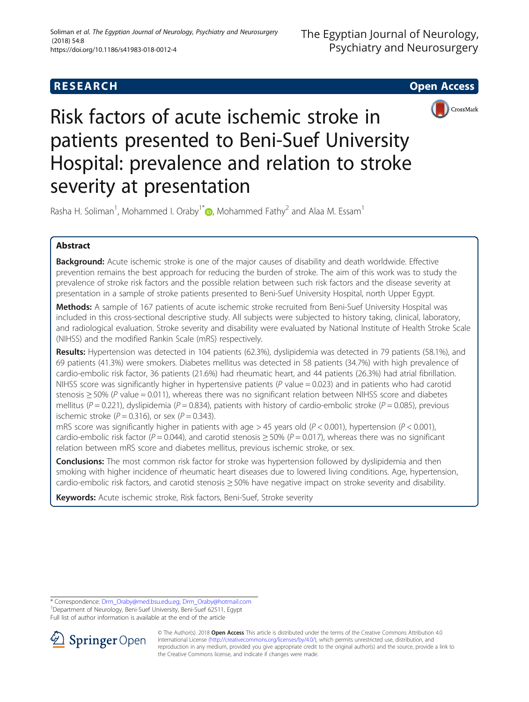



# Risk factors of acute ischemic stroke in patients presented to Beni-Suef University Hospital: prevalence and relation to stroke severity at presentation

Rasha H. Soliman<sup>1</sup>, Mohammed I. Oraby<sup>1\*</sup> $\bullet$ , Mohammed Fathy<sup>2</sup> and Alaa M. Essam<sup>1</sup>

# Abstract

**Background:** Acute ischemic stroke is one of the major causes of disability and death worldwide. Effective prevention remains the best approach for reducing the burden of stroke. The aim of this work was to study the prevalence of stroke risk factors and the possible relation between such risk factors and the disease severity at presentation in a sample of stroke patients presented to Beni-Suef University Hospital, north Upper Egypt.

Methods: A sample of 167 patients of acute ischemic stroke recruited from Beni-Suef University Hospital was included in this cross-sectional descriptive study. All subjects were subjected to history taking, clinical, laboratory, and radiological evaluation. Stroke severity and disability were evaluated by National Institute of Health Stroke Scale (NIHSS) and the modified Rankin Scale (mRS) respectively.

Results: Hypertension was detected in 104 patients (62.3%), dyslipidemia was detected in 79 patients (58.1%), and 69 patients (41.3%) were smokers. Diabetes mellitus was detected in 58 patients (34.7%) with high prevalence of cardio-embolic risk factor, 36 patients (21.6%) had rheumatic heart, and 44 patients (26.3%) had atrial fibrillation. NIHSS score was significantly higher in hypertensive patients ( $P$  value = 0.023) and in patients who had carotid stenosis ≥ 50% (P value = 0.011), whereas there was no significant relation between NIHSS score and diabetes mellitus ( $P = 0.221$ ), dyslipidemia ( $P = 0.834$ ), patients with history of cardio-embolic stroke ( $P = 0.085$ ), previous ischemic stroke ( $P = 0.316$ ), or sex ( $P = 0.343$ ).

mRS score was significantly higher in patients with age  $>$  45 years old ( $P < 0.001$ ), hypertension ( $P < 0.001$ ), cardio-embolic risk factor ( $P = 0.044$ ), and carotid stenosis  $\geq$  50% ( $P = 0.017$ ), whereas there was no significant relation between mRS score and diabetes mellitus, previous ischemic stroke, or sex.

**Conclusions:** The most common risk factor for stroke was hypertension followed by dyslipidemia and then smoking with higher incidence of rheumatic heart diseases due to lowered living conditions. Age, hypertension, cardio-embolic risk factors, and carotid stenosis ≥ 50% have negative impact on stroke severity and disability.

Keywords: Acute ischemic stroke, Risk factors, Beni-Suef, Stroke severity

<sup>1</sup>Department of Neurology, Beni-Suef University, Beni-Suef 62511, Egypt

Full list of author information is available at the end of the article



<sup>©</sup> The Author(s). 2018 Open Access This article is distributed under the terms of the Creative Commons Attribution 4.0 International License ([http://creativecommons.org/licenses/by/4.0/\)](http://creativecommons.org/licenses/by/4.0/), which permits unrestricted use, distribution, and reproduction in any medium, provided you give appropriate credit to the original author(s) and the source, provide a link to the Creative Commons license, and indicate if changes were made.

<sup>\*</sup> Correspondence: [Drm\\_Oraby@med.bsu.edu.eg](mailto:Drm_Oraby@med.bsu.edu.eg); [Drm\\_Oraby@hotmail.com](mailto:Drm_Oraby@hotmail.com) <sup>1</sup>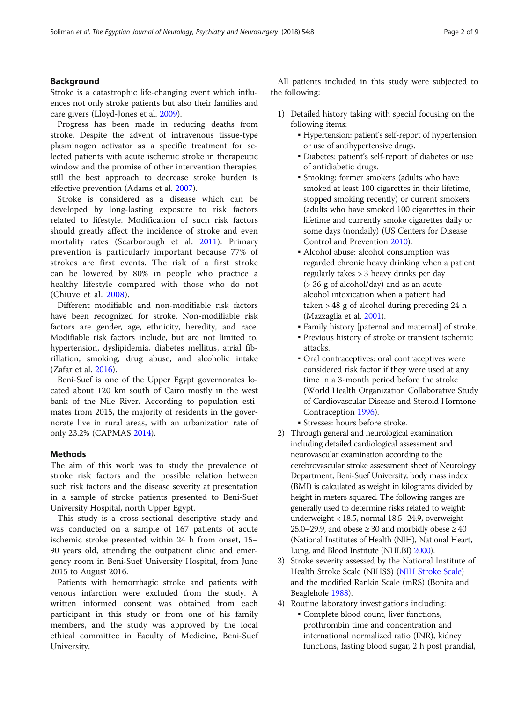# Background

Stroke is a catastrophic life-changing event which influences not only stroke patients but also their families and care givers (Lloyd-Jones et al. [2009\)](#page-8-0).

Progress has been made in reducing deaths from stroke. Despite the advent of intravenous tissue-type plasminogen activator as a specific treatment for selected patients with acute ischemic stroke in therapeutic window and the promise of other intervention therapies, still the best approach to decrease stroke burden is effective prevention (Adams et al. [2007](#page-7-0)).

Stroke is considered as a disease which can be developed by long-lasting exposure to risk factors related to lifestyle. Modification of such risk factors should greatly affect the incidence of stroke and even mortality rates (Scarborough et al. [2011\)](#page-8-0). Primary prevention is particularly important because 77% of strokes are first events. The risk of a first stroke can be lowered by 80% in people who practice a healthy lifestyle compared with those who do not (Chiuve et al. [2008](#page-8-0)).

Different modifiable and non-modifiable risk factors have been recognized for stroke. Non-modifiable risk factors are gender, age, ethnicity, heredity, and race. Modifiable risk factors include, but are not limited to, hypertension, dyslipidemia, diabetes mellitus, atrial fibrillation, smoking, drug abuse, and alcoholic intake (Zafar et al. [2016\)](#page-8-0).

Beni-Suef is one of the Upper Egypt governorates located about 120 km south of Cairo mostly in the west bank of the Nile River. According to population estimates from 2015, the majority of residents in the governorate live in rural areas, with an urbanization rate of only 23.2% (CAPMAS [2014](#page-8-0)).

# **Methods**

The aim of this work was to study the prevalence of stroke risk factors and the possible relation between such risk factors and the disease severity at presentation in a sample of stroke patients presented to Beni-Suef University Hospital, north Upper Egypt.

This study is a cross-sectional descriptive study and was conducted on a sample of 167 patients of acute ischemic stroke presented within 24 h from onset, 15– 90 years old, attending the outpatient clinic and emergency room in Beni-Suef University Hospital, from June 2015 to August 2016.

Patients with hemorrhagic stroke and patients with venous infarction were excluded from the study. A written informed consent was obtained from each participant in this study or from one of his family members, and the study was approved by the local ethical committee in Faculty of Medicine, Beni-Suef University.

All patients included in this study were subjected to the following:

- 1) Detailed history taking with special focusing on the following items:
	- Hypertension: patient's self-report of hypertension or use of antihypertensive drugs.
	- Diabetes: patient's self-report of diabetes or use of antidiabetic drugs.
	- Smoking: former smokers (adults who have smoked at least 100 cigarettes in their lifetime, stopped smoking recently) or current smokers (adults who have smoked 100 cigarettes in their lifetime and currently smoke cigarettes daily or some days (nondaily) (US Centers for Disease Control and Prevention [2010](#page-8-0)).
	- Alcohol abuse: alcohol consumption was regarded chronic heavy drinking when a patient regularly takes > 3 heavy drinks per day (> 36 g of alcohol/day) and as an acute alcohol intoxication when a patient had taken > 48 g of alcohol during preceding 24 h (Mazzaglia et al. [2001](#page-8-0)).
	- Family history [paternal and maternal] of stroke.
	- Previous history of stroke or transient ischemic attacks.
	- Oral contraceptives: oral contraceptives were considered risk factor if they were used at any time in a 3-month period before the stroke (World Health Organization Collaborative Study of Cardiovascular Disease and Steroid Hormone Contraception [1996\)](#page-8-0).
	- Stresses: hours before stroke.
- 2) Through general and neurological examination including detailed cardiological assessment and neurovascular examination according to the cerebrovascular stroke assessment sheet of Neurology Department, Beni-Suef University, body mass index (BMI) is calculated as weight in kilograms divided by height in meters squared. The following ranges are generally used to determine risks related to weight: underweight < 18.5, normal 18.5–24.9, overweight 25.0–29.9, and obese  $\geq$  30 and morbidly obese  $\geq$  40 (National Institutes of Health (NIH), National Heart, Lung, and Blood Institute (NHLBI) [2000\)](#page-8-0).
- 3) Stroke severity assessed by the National Institute of Health Stroke Scale (NIHSS) ([NIH Stroke Scale\)](#page-8-0) and the modified Rankin Scale (mRS) (Bonita and Beaglehole [1988](#page-8-0)).
- 4) Routine laboratory investigations including:
	- Complete blood count, liver functions, prothrombin time and concentration and international normalized ratio (INR), kidney functions, fasting blood sugar, 2 h post prandial,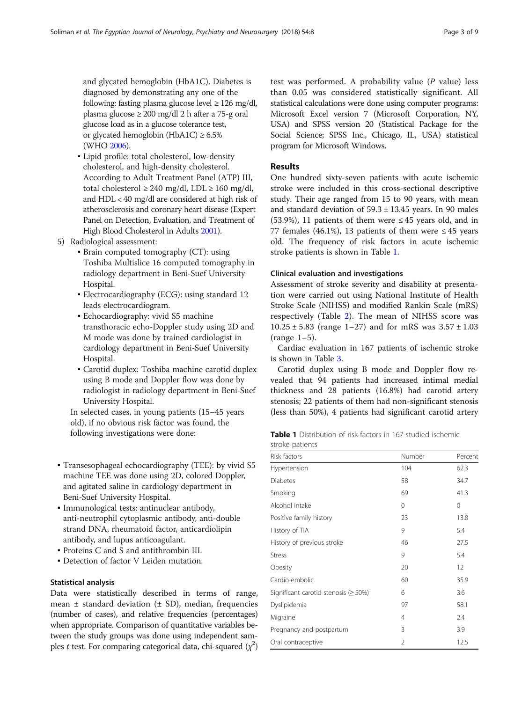and glycated hemoglobin (HbA1C). Diabetes is diagnosed by demonstrating any one of the following: fasting plasma glucose level  $\geq 126$  mg/dl, plasma glucose  $\geq 200$  mg/dl 2 h after a 75-g oral glucose load as in a glucose tolerance test, or glycated hemoglobin (HbA1C)  $\geq 6.5\%$ (WHO [2006](#page-8-0)).

- Lipid profile: total cholesterol, low-density cholesterol, and high-density cholesterol. According to Adult Treatment Panel (ATP) III, total cholesterol  $\geq 240$  mg/dl, LDL  $\geq 160$  mg/dl, and HDL < 40 mg/dl are considered at high risk of atherosclerosis and coronary heart disease (Expert Panel on Detection, Evaluation, and Treatment of High Blood Cholesterol in Adults [2001\)](#page-8-0).
- 5) Radiological assessment:
	- Brain computed tomography (CT): using Toshiba Multislice 16 computed tomography in radiology department in Beni-Suef University Hospital.
	- Electrocardiography (ECG): using standard 12 leads electrocardiogram.
	- Echocardiography: vivid S5 machine transthoracic echo-Doppler study using 2D and M mode was done by trained cardiologist in cardiology department in Beni-Suef University Hospital.
	- Carotid duplex: Toshiba machine carotid duplex using B mode and Doppler flow was done by radiologist in radiology department in Beni-Suef University Hospital.

In selected cases, in young patients (15–45 years old), if no obvious risk factor was found, the following investigations were done:

- Transesophageal echocardiography (TEE): by vivid S5 machine TEE was done using 2D, colored Doppler, and agitated saline in cardiology department in Beni-Suef University Hospital.
- Immunological tests: antinuclear antibody, anti-neutrophil cytoplasmic antibody, anti-double strand DNA, rheumatoid factor, anticardiolipin antibody, and lupus anticoagulant.
- Proteins C and S and antithrombin III.
- Detection of factor V Leiden mutation.

# Statistical analysis

Data were statistically described in terms of range, mean  $\pm$  standard deviation ( $\pm$  SD), median, frequencies (number of cases), and relative frequencies (percentages) when appropriate. Comparison of quantitative variables between the study groups was done using independent samples t test. For comparing categorical data, chi-squared  $(\chi^2)$ 

test was performed. A probability value  $(P \text{ value})$  less than 0.05 was considered statistically significant. All statistical calculations were done using computer programs: Microsoft Excel version 7 (Microsoft Corporation, NY, USA) and SPSS version 20 (Statistical Package for the Social Science; SPSS Inc., Chicago, IL, USA) statistical program for Microsoft Windows.

# Results

One hundred sixty-seven patients with acute ischemic stroke were included in this cross-sectional descriptive study. Their age ranged from 15 to 90 years, with mean and standard deviation of  $59.3 \pm 13.45$  years. In 90 males (53.9%), 11 patients of them were  $\leq$  45 years old, and in 77 females (46.1%), 13 patients of them were  $\leq 45$  years old. The frequency of risk factors in acute ischemic stroke patients is shown in Table 1.

## Clinical evaluation and investigations

Assessment of stroke severity and disability at presentation were carried out using National Institute of Health Stroke Scale (NIHSS) and modified Rankin Scale (mRS) respectively (Table [2](#page-3-0)). The mean of NIHSS score was  $10.25 \pm 5.83$  (range 1–27) and for mRS was  $3.57 \pm 1.03$ (range 1–5).

Cardiac evaluation in 167 patients of ischemic stroke is shown in Table [3](#page-3-0).

Carotid duplex using B mode and Doppler flow revealed that 94 patients had increased intimal medial thickness and 28 patients (16.8%) had carotid artery stenosis; 22 patients of them had non-significant stenosis (less than 50%), 4 patients had significant carotid artery

Table 1 Distribution of risk factors in 167 studied ischemic stroke patients

| Risk factors                               | Number         | Percent  |
|--------------------------------------------|----------------|----------|
| Hypertension                               | 104            | 62.3     |
| <b>Diabetes</b>                            | 58             | 34.7     |
| Smoking                                    | 69             | 41.3     |
| Alcohol intake                             | $\Omega$       | $\Omega$ |
| Positive family history                    | 23             | 13.8     |
| History of TIA                             | 9              | 5.4      |
| History of previous stroke                 | 46             | 27.5     |
| <b>Stress</b>                              | 9              | 5.4      |
| Obesity                                    | 20             | 12       |
| Cardio-embolic                             | 60             | 35.9     |
| Significant carotid stenosis ( $\geq$ 50%) | 6              | 3.6      |
| Dyslipidemia                               | 97             | 58.1     |
| Migraine                                   | $\overline{4}$ | 2.4      |
| Pregnancy and postpartum                   | 3              | 3.9      |
| Oral contraceptive                         | 2              | 12.5     |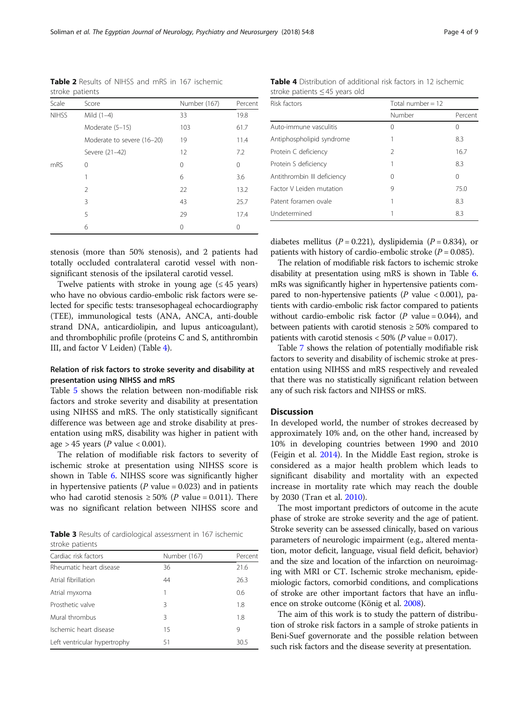<span id="page-3-0"></span>Soliman et al. The Egyptian Journal of Neurology, Psychiatry and Neurosurgery (2018) 54:8 Page 4 of 9 Page 4 of 9

| Scale        | Score                      | Number (167) | Percent |
|--------------|----------------------------|--------------|---------|
| <b>NIHSS</b> | Mild $(1-4)$               | 33           | 19.8    |
|              | Moderate (5-15)            | 103          | 61.7    |
|              | Moderate to severe (16-20) | 19           | 11.4    |
|              | Severe (21-42)             | 12           | 7.2     |
| mRS          | ∩                          | $\Omega$     | 0       |
|              |                            | 6            | 3.6     |
|              | 2                          | 22           | 13.2    |
|              | 3                          | 43           | 25.7    |
|              | 5                          | 29           | 17.4    |
|              | 6                          | $\Omega$     | 0       |

Table 2 Results of NIHSS and mRS in 167 ischemic stroke patients

stenosis (more than 50% stenosis), and 2 patients had totally occluded contralateral carotid vessel with nonsignificant stenosis of the ipsilateral carotid vessel.

Twelve patients with stroke in young age  $( \leq 45 \text{ years})$ who have no obvious cardio-embolic risk factors were selected for specific tests: transesophageal echocardiography (TEE), immunological tests (ANA, ANCA, anti-double strand DNA, anticardiolipin, and lupus anticoagulant), and thrombophilic profile (proteins C and S, antithrombin III, and factor V Leiden) (Table 4).

# Relation of risk factors to stroke severity and disability at presentation using NIHSS and mRS

Table [5](#page-4-0) shows the relation between non-modifiable risk factors and stroke severity and disability at presentation using NIHSS and mRS. The only statistically significant difference was between age and stroke disability at presentation using mRS, disability was higher in patient with age > 45 years ( $P$  value < 0.001).

The relation of modifiable risk factors to severity of ischemic stroke at presentation using NIHSS score is shown in Table [6.](#page-5-0) NIHSS score was significantly higher in hypertensive patients ( $P$  value = 0.023) and in patients who had carotid stenosis  $\geq 50\%$  (P value = 0.011). There was no significant relation between NIHSS score and

Table 3 Results of cardiological assessment in 167 ischemic stroke patients

| Cardiac risk factors         | Number (167) | Percent |
|------------------------------|--------------|---------|
| Rheumatic heart disease      | 36           | 21.6    |
| Atrial fibrillation          | 44           | 26.3    |
| Atrial myxoma                |              | 0.6     |
| Prosthetic valve             | Β            | 1.8     |
| Mural thrombus               | 3            | 1.8     |
| Ischemic heart disease       | 15           | 9       |
| Left ventricular hypertrophy | 51           | 30.5    |

|  |                                     | <b>Table 4</b> Distribution of additional risk factors in 12 ischemic |  |  |  |
|--|-------------------------------------|-----------------------------------------------------------------------|--|--|--|
|  | stroke patients $\leq$ 45 years old |                                                                       |  |  |  |

| Risk factors                | Total number = $12$ |         |
|-----------------------------|---------------------|---------|
|                             | Number              | Percent |
| Auto-immune vasculitis      | $\left( \right)$    | 0       |
| Antiphospholipid syndrome   | 1                   | 8.3     |
| Protein C deficiency        | 2                   | 16.7    |
| Protein S deficiency        |                     | 8.3     |
| Antithrombin III deficiency | 0                   | 0       |
| Factor V Leiden mutation    | 9                   | 75.0    |
| Patent foramen ovale        |                     | 8.3     |
| Undetermined                |                     | 8.3     |

diabetes mellitus ( $P = 0.221$ ), dyslipidemia ( $P = 0.834$ ), or patients with history of cardio-embolic stroke ( $P = 0.085$ ).

The relation of modifiable risk factors to ischemic stroke disability at presentation using mRS is shown in Table [6](#page-5-0). mRs was significantly higher in hypertensive patients compared to non-hypertensive patients ( $P$  value < 0.001), patients with cardio-embolic risk factor compared to patients without cardio-embolic risk factor  $(P \text{ value} = 0.044)$ , and between patients with carotid stenosis  $\geq$  50% compared to patients with carotid stenosis  $<$  50% (P value = 0.017).

Table [7](#page-5-0) shows the relation of potentially modifiable risk factors to severity and disability of ischemic stroke at presentation using NIHSS and mRS respectively and revealed that there was no statistically significant relation between any of such risk factors and NIHSS or mRS.

# **Discussion**

In developed world, the number of strokes decreased by approximately 10% and, on the other hand, increased by 10% in developing countries between 1990 and 2010 (Feigin et al. [2014](#page-8-0)). In the Middle East region, stroke is considered as a major health problem which leads to significant disability and mortality with an expected increase in mortality rate which may reach the double by 2030 (Tran et al. [2010](#page-8-0)).

The most important predictors of outcome in the acute phase of stroke are stroke severity and the age of patient. Stroke severity can be assessed clinically, based on various parameters of neurologic impairment (e.g., altered mentation, motor deficit, language, visual field deficit, behavior) and the size and location of the infarction on neuroimaging with MRI or CT. Ischemic stroke mechanism, epidemiologic factors, comorbid conditions, and complications of stroke are other important factors that have an influence on stroke outcome (König et al. [2008\)](#page-8-0).

The aim of this work is to study the pattern of distribution of stroke risk factors in a sample of stroke patients in Beni-Suef governorate and the possible relation between such risk factors and the disease severity at presentation.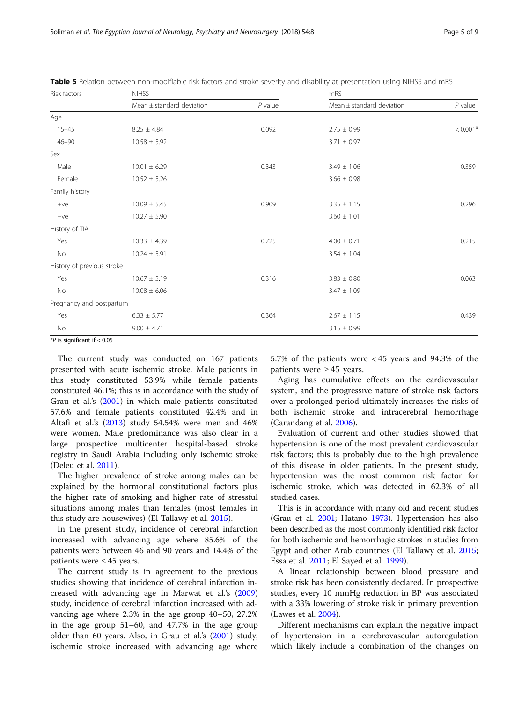| Risk factors               | <b>NIHSS</b>                  |           | mRS                           |            |
|----------------------------|-------------------------------|-----------|-------------------------------|------------|
|                            | Mean $\pm$ standard deviation | $P$ value | Mean $\pm$ standard deviation | $P$ value  |
| Age                        |                               |           |                               |            |
| $15 - 45$                  | $8.25 \pm 4.84$               | 0.092     | $2.75 \pm 0.99$               | $< 0.001*$ |
| $46 - 90$                  | $10.58 \pm 5.92$              |           | $3.71 \pm 0.97$               |            |
| Sex                        |                               |           |                               |            |
| Male                       | $10.01 \pm 6.29$              | 0.343     | $3.49 \pm 1.06$               | 0.359      |
| Female                     | $10.52 \pm 5.26$              |           | $3.66 \pm 0.98$               |            |
| Family history             |                               |           |                               |            |
| $+ve$                      | $10.09 \pm 5.45$              | 0.909     | $3.35 \pm 1.15$               | 0.296      |
| $-ve$                      | $10.27 \pm 5.90$              |           | $3.60 \pm 1.01$               |            |
| History of TIA             |                               |           |                               |            |
| Yes                        | $10.33 \pm 4.39$              | 0.725     | $4.00 \pm 0.71$               | 0.215      |
| No                         | $10.24 \pm 5.91$              |           | $3.54 \pm 1.04$               |            |
| History of previous stroke |                               |           |                               |            |
| Yes                        | $10.67 \pm 5.19$              | 0.316     | $3.83 \pm 0.80$               | 0.063      |
| No                         | $10.08 \pm 6.06$              |           | $3.47 \pm 1.09$               |            |
| Pregnancy and postpartum   |                               |           |                               |            |
| Yes                        | $6.33 \pm 5.77$               | 0.364     | $2.67 \pm 1.15$               | 0.439      |
| No                         | $9.00 \pm 4.71$               |           | $3.15 \pm 0.99$               |            |

<span id="page-4-0"></span>Table 5 Relation between non-modifiable risk factors and stroke severity and disability at presentation using NIHSS and mRS

 $*P$  is significant if < 0.05

The current study was conducted on 167 patients presented with acute ischemic stroke. Male patients in this study constituted 53.9% while female patients constituted 46.1%; this is in accordance with the study of Grau et al.'s ([2001](#page-8-0)) in which male patients constituted 57.6% and female patients constituted 42.4% and in Altafi et al.'s ([2013](#page-7-0)) study 54.54% were men and 46% were women. Male predominance was also clear in a large prospective multicenter hospital-based stroke registry in Saudi Arabia including only ischemic stroke (Deleu et al. [2011\)](#page-8-0).

The higher prevalence of stroke among males can be explained by the hormonal constitutional factors plus the higher rate of smoking and higher rate of stressful situations among males than females (most females in this study are housewives) (El Tallawy et al. [2015\)](#page-8-0).

In the present study, incidence of cerebral infarction increased with advancing age where 85.6% of the patients were between 46 and 90 years and 14.4% of the patients were  $\leq 45$  years.

The current study is in agreement to the previous studies showing that incidence of cerebral infarction increased with advancing age in Marwat et al.'s ([2009](#page-8-0)) study, incidence of cerebral infarction increased with advancing age where 2.3% in the age group 40–50, 27.2% in the age group 51–60, and 47.7% in the age group older than 60 years. Also, in Grau et al.'s ([2001](#page-8-0)) study, ischemic stroke increased with advancing age where

5.7% of the patients were < 45 years and 94.3% of the patients were  $\geq 45$  years.

Aging has cumulative effects on the cardiovascular system, and the progressive nature of stroke risk factors over a prolonged period ultimately increases the risks of both ischemic stroke and intracerebral hemorrhage (Carandang et al. [2006](#page-8-0)).

Evaluation of current and other studies showed that hypertension is one of the most prevalent cardiovascular risk factors; this is probably due to the high prevalence of this disease in older patients. In the present study, hypertension was the most common risk factor for ischemic stroke, which was detected in 62.3% of all studied cases.

This is in accordance with many old and recent studies (Grau et al. [2001](#page-8-0); Hatano [1973](#page-8-0)). Hypertension has also been described as the most commonly identified risk factor for both ischemic and hemorrhagic strokes in studies from Egypt and other Arab countries (El Tallawy et al. [2015](#page-8-0); Essa et al. [2011;](#page-8-0) El Sayed et al. [1999\)](#page-8-0).

A linear relationship between blood pressure and stroke risk has been consistently declared. In prospective studies, every 10 mmHg reduction in BP was associated with a 33% lowering of stroke risk in primary prevention (Lawes et al. [2004](#page-8-0)).

Different mechanisms can explain the negative impact of hypertension in a cerebrovascular autoregulation which likely include a combination of the changes on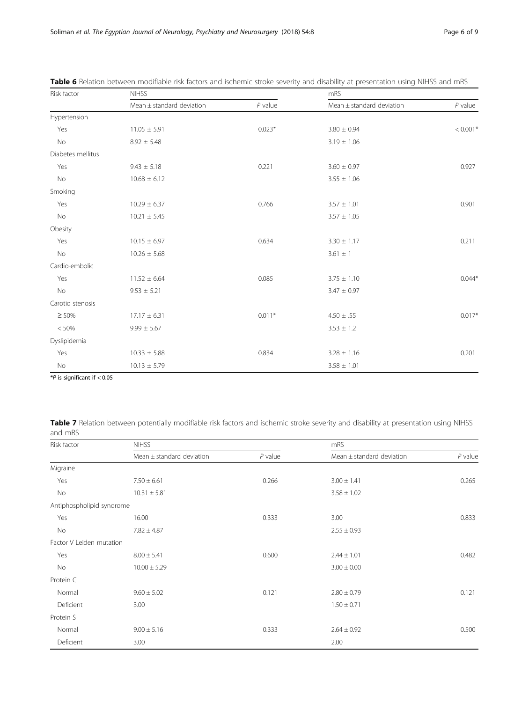| Risk factor       | <b>NIHSS</b>              |           | mRS                           |            |
|-------------------|---------------------------|-----------|-------------------------------|------------|
|                   | Mean ± standard deviation | $P$ value | Mean $\pm$ standard deviation | $P$ value  |
| Hypertension      |                           |           |                               |            |
| Yes               | $11.05 \pm 5.91$          | $0.023*$  | $3.80 \pm 0.94$               | $< 0.001*$ |
| No                | $8.92 \pm 5.48$           |           | $3.19 \pm 1.06$               |            |
| Diabetes mellitus |                           |           |                               |            |
| Yes               | $9.43 \pm 5.18$           | 0.221     | $3.60 \pm 0.97$               | 0.927      |
| No                | $10.68 \pm 6.12$          |           | $3.55 \pm 1.06$               |            |
| Smoking           |                           |           |                               |            |
| Yes               | $10.29 \pm 6.37$          | 0.766     | $3.57 \pm 1.01$               | 0.901      |
| No                | $10.21 \pm 5.45$          |           | $3.57 \pm 1.05$               |            |
| Obesity           |                           |           |                               |            |
| Yes               | $10.15 \pm 6.97$          | 0.634     | $3.30 \pm 1.17$               | 0.211      |
| No                | $10.26 \pm 5.68$          |           | $3.61 \pm 1$                  |            |
| Cardio-embolic    |                           |           |                               |            |
| Yes               | $11.52 \pm 6.64$          | 0.085     | $3.75 \pm 1.10$               | $0.044*$   |
| No                | $9.53 \pm 5.21$           |           | $3.47 \pm 0.97$               |            |
| Carotid stenosis  |                           |           |                               |            |
| $\geq 50\%$       | $17.17 \pm 6.31$          | $0.011*$  | $4.50 \pm .55$                | $0.017*$   |
| < 50%             | $9.99 \pm 5.67$           |           | $3.53 \pm 1.2$                |            |
| Dyslipidemia      |                           |           |                               |            |
| Yes               | $10.33 \pm 5.88$          | 0.834     | $3.28 \pm 1.16$               | 0.201      |
| No                | $10.13 \pm 5.79$          |           | $3.58 \pm 1.01$               |            |

<span id="page-5-0"></span>

|  | <b>Table 6</b> Relation between modifiable risk factors and ischemic stroke severity and disability at presentation using NIHSS and mRS |  |
|--|-----------------------------------------------------------------------------------------------------------------------------------------|--|

 $*$ P is significant if < 0.05

Table 7 Relation between potentially modifiable risk factors and ischemic stroke severity and disability at presentation using NIHSS and mRS

| Risk factor               | <b>NIHSS</b>                  |           | mRS                           |           |
|---------------------------|-------------------------------|-----------|-------------------------------|-----------|
|                           | Mean $\pm$ standard deviation | $P$ value | Mean $\pm$ standard deviation | $P$ value |
| Migraine                  |                               |           |                               |           |
| Yes                       | $7.50 \pm 6.61$               | 0.266     | $3.00 \pm 1.41$               | 0.265     |
| No                        | $10.31 \pm 5.81$              |           | $3.58 \pm 1.02$               |           |
| Antiphospholipid syndrome |                               |           |                               |           |
| Yes                       | 16.00                         | 0.333     | 3.00                          | 0.833     |
| No                        | $7.82 \pm 4.87$               |           | $2.55 \pm 0.93$               |           |
| Factor V Leiden mutation  |                               |           |                               |           |
| Yes                       | $8.00 \pm 5.41$               | 0.600     | $2.44 \pm 1.01$               | 0.482     |
| No                        | $10.00 \pm 5.29$              |           | $3.00 \pm 0.00$               |           |
| Protein C                 |                               |           |                               |           |
| Normal                    | $9.60 \pm 5.02$               | 0.121     | $2.80 \pm 0.79$               | 0.121     |
| Deficient                 | 3.00                          |           | $1.50 \pm 0.71$               |           |
| Protein S                 |                               |           |                               |           |
| Normal                    | $9.00 \pm 5.16$               | 0.333     | $2.64 \pm 0.92$               | 0.500     |
| Deficient                 | 3.00                          |           | 2.00                          |           |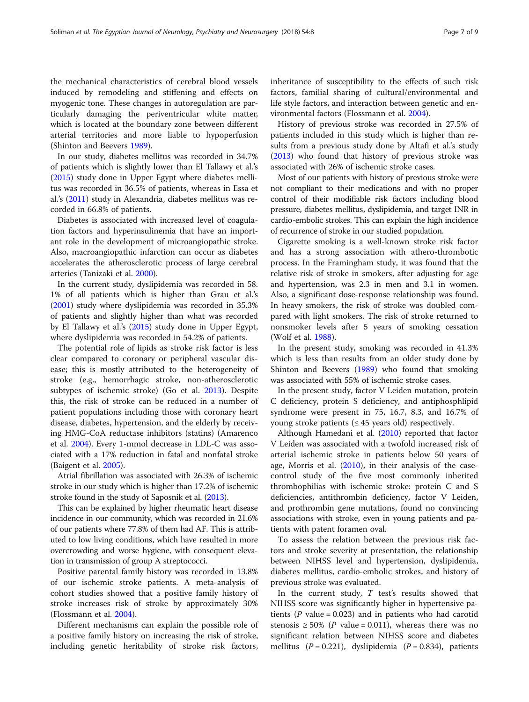the mechanical characteristics of cerebral blood vessels induced by remodeling and stiffening and effects on myogenic tone. These changes in autoregulation are particularly damaging the periventricular white matter, which is located at the boundary zone between different arterial territories and more liable to hypoperfusion (Shinton and Beevers [1989](#page-8-0)).

In our study, diabetes mellitus was recorded in 34.7% of patients which is slightly lower than El Tallawy et al.'s ([2015](#page-8-0)) study done in Upper Egypt where diabetes mellitus was recorded in 36.5% of patients, whereas in Essa et al.'s [\(2011\)](#page-8-0) study in Alexandria, diabetes mellitus was recorded in 66.8% of patients.

Diabetes is associated with increased level of coagulation factors and hyperinsulinemia that have an important role in the development of microangiopathic stroke. Also, macroangiopathic infarction can occur as diabetes accelerates the atherosclerotic process of large cerebral arteries (Tanizaki et al. [2000](#page-8-0)).

In the current study, dyslipidemia was recorded in 58. 1% of all patients which is higher than Grau et al.'s ([2001](#page-8-0)) study where dyslipidemia was recorded in 35.3% of patients and slightly higher than what was recorded by El Tallawy et al.'s [\(2015](#page-8-0)) study done in Upper Egypt, where dyslipidemia was recorded in 54.2% of patients.

The potential role of lipids as stroke risk factor is less clear compared to coronary or peripheral vascular disease; this is mostly attributed to the heterogeneity of stroke (e.g., hemorrhagic stroke, non-atherosclerotic subtypes of ischemic stroke) (Go et al. [2013\)](#page-8-0). Despite this, the risk of stroke can be reduced in a number of patient populations including those with coronary heart disease, diabetes, hypertension, and the elderly by receiving HMG-CoA reductase inhibitors (statins) (Amarenco et al. [2004\)](#page-7-0). Every 1-mmol decrease in LDL-C was associated with a 17% reduction in fatal and nonfatal stroke (Baigent et al. [2005\)](#page-7-0).

Atrial fibrillation was associated with 26.3% of ischemic stroke in our study which is higher than 17.2% of ischemic stroke found in the study of Saposnik et al. [\(2013](#page-8-0)).

This can be explained by higher rheumatic heart disease incidence in our community, which was recorded in 21.6% of our patients where 77.8% of them had AF. This is attributed to low living conditions, which have resulted in more overcrowding and worse hygiene, with consequent elevation in transmission of group A streptococci.

Positive parental family history was recorded in 13.8% of our ischemic stroke patients. A meta-analysis of cohort studies showed that a positive family history of stroke increases risk of stroke by approximately 30% (Flossmann et al. [2004\)](#page-8-0).

Different mechanisms can explain the possible role of a positive family history on increasing the risk of stroke, including genetic heritability of stroke risk factors, inheritance of susceptibility to the effects of such risk factors, familial sharing of cultural/environmental and life style factors, and interaction between genetic and environmental factors (Flossmann et al. [2004](#page-8-0)).

History of previous stroke was recorded in 27.5% of patients included in this study which is higher than results from a previous study done by Altafi et al.'s study ([2013\)](#page-7-0) who found that history of previous stroke was associated with 26% of ischemic stroke cases.

Most of our patients with history of previous stroke were not compliant to their medications and with no proper control of their modifiable risk factors including blood pressure, diabetes mellitus, dyslipidemia, and target INR in cardio-embolic strokes. This can explain the high incidence of recurrence of stroke in our studied population.

Cigarette smoking is a well-known stroke risk factor and has a strong association with athero-thrombotic process. In the Framingham study, it was found that the relative risk of stroke in smokers, after adjusting for age and hypertension, was 2.3 in men and 3.1 in women. Also, a significant dose-response relationship was found. In heavy smokers, the risk of stroke was doubled compared with light smokers. The risk of stroke returned to nonsmoker levels after 5 years of smoking cessation (Wolf et al. [1988](#page-8-0)).

In the present study, smoking was recorded in 41.3% which is less than results from an older study done by Shinton and Beevers [\(1989\)](#page-8-0) who found that smoking was associated with 55% of ischemic stroke cases.

In the present study, factor V Leiden mutation, protein C deficiency, protein S deficiency, and antiphosphlipid syndrome were present in 75, 16.7, 8.3, and 16.7% of young stroke patients  $(\leq 45$  years old) respectively.

Although Hamedani et al. [\(2010\)](#page-8-0) reported that factor V Leiden was associated with a twofold increased risk of arterial ischemic stroke in patients below 50 years of age, Morris et al.  $(2010)$ , in their analysis of the casecontrol study of the five most commonly inherited thrombophilias with ischemic stroke: protein C and S deficiencies, antithrombin deficiency, factor V Leiden, and prothrombin gene mutations, found no convincing associations with stroke, even in young patients and patients with patent foramen oval.

To assess the relation between the previous risk factors and stroke severity at presentation, the relationship between NIHSS level and hypertension, dyslipidemia, diabetes mellitus, cardio-embolic strokes, and history of previous stroke was evaluated.

In the current study,  $T$  test's results showed that NIHSS score was significantly higher in hypertensive patients ( $P$  value = 0.023) and in patients who had carotid stenosis  $\geq 50\%$  (P value = 0.011), whereas there was no significant relation between NIHSS score and diabetes mellitus  $(P = 0.221)$ , dyslipidemia  $(P = 0.834)$ , patients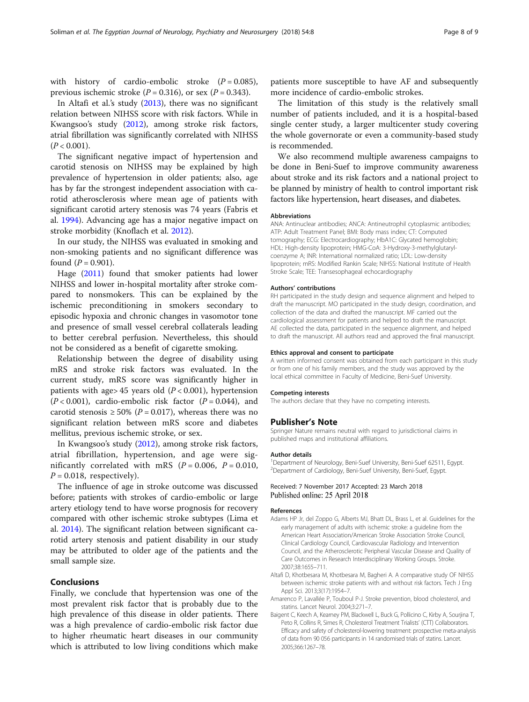<span id="page-7-0"></span>with history of cardio-embolic stroke  $(P = 0.085)$ , previous ischemic stroke ( $P = 0.316$ ), or sex ( $P = 0.343$ ).

In Altafi et al.'s study (2013), there was no significant relation between NIHSS score with risk factors. While in Kwangsoo's study ([2012\)](#page-8-0), among stroke risk factors, atrial fibrillation was significantly correlated with NIHSS  $(P < 0.001)$ .

The significant negative impact of hypertension and carotid stenosis on NIHSS may be explained by high prevalence of hypertension in older patients; also, age has by far the strongest independent association with carotid atherosclerosis where mean age of patients with significant carotid artery stenosis was 74 years (Fabris et al. [1994\)](#page-8-0). Advancing age has a major negative impact on stroke morbidity (Knoflach et al. [2012](#page-8-0)).

In our study, the NIHSS was evaluated in smoking and non-smoking patients and no significant difference was found  $(P = 0.901)$ .

Hage ([2011](#page-8-0)) found that smoker patients had lower NIHSS and lower in-hospital mortality after stroke compared to nonsmokers. This can be explained by the ischemic preconditioning in smokers secondary to episodic hypoxia and chronic changes in vasomotor tone and presence of small vessel cerebral collaterals leading to better cerebral perfusion. Nevertheless, this should not be considered as a benefit of cigarette smoking.

Relationship between the degree of disability using mRS and stroke risk factors was evaluated. In the current study, mRS score was significantly higher in patients with age> 45 years old  $(P < 0.001)$ , hypertension  $(P < 0.001)$ , cardio-embolic risk factor  $(P = 0.044)$ , and carotid stenosis  $\geq 50\%$  (P = 0.017), whereas there was no significant relation between mRS score and diabetes mellitus, previous ischemic stroke, or sex.

In Kwangsoo's study [\(2012\)](#page-8-0), among stroke risk factors, atrial fibrillation, hypertension, and age were significantly correlated with mRS ( $P = 0.006$ ,  $P = 0.010$ ,  $P = 0.018$ , respectively).

The influence of age in stroke outcome was discussed before; patients with strokes of cardio-embolic or large artery etiology tend to have worse prognosis for recovery compared with other ischemic stroke subtypes (Lima et al. [2014\)](#page-8-0). The significant relation between significant carotid artery stenosis and patient disability in our study may be attributed to older age of the patients and the small sample size.

# Conclusions

Finally, we conclude that hypertension was one of the most prevalent risk factor that is probably due to the high prevalence of this disease in older patients. There was a high prevalence of cardio-embolic risk factor due to higher rheumatic heart diseases in our community which is attributed to low living conditions which make

patients more susceptible to have AF and subsequently more incidence of cardio-embolic strokes.

The limitation of this study is the relatively small number of patients included, and it is a hospital-based single center study, a larger multicenter study covering the whole governorate or even a community-based study is recommended.

We also recommend multiple awareness campaigns to be done in Beni-Suef to improve community awareness about stroke and its risk factors and a national project to be planned by ministry of health to control important risk factors like hypertension, heart diseases, and diabetes.

#### **Abbreviations**

ANA: Antinuclear antibodies; ANCA: Antineutrophil cytoplasmic antibodies; ATP: Adult Treatment Panel; BMI: Body mass index; CT: Computed tomography; ECG: Electrocardiography; HbA1C: Glycated hemoglobin; HDL: High-density lipoprotein; HMG-CoA: 3-Hydroxy-3-methylglutarylcoenzyme A; INR: International normalized ratio; LDL: Low-density lipoprotein; mRS: Modified Rankin Scale; NIHSS: National Institute of Health Stroke Scale; TEE: Transesophageal echocardiography

#### Authors' contributions

RH participated in the study design and sequence alignment and helped to draft the manuscript. MO participated in the study design, coordination, and collection of the data and drafted the manuscript. MF carried out the cardiological assessment for patients and helped to draft the manuscript. AE collected the data, participated in the sequence alignment, and helped to draft the manuscript. All authors read and approved the final manuscript.

#### Ethics approval and consent to participate

A written informed consent was obtained from each participant in this study or from one of his family members, and the study was approved by the local ethical committee in Faculty of Medicine, Beni-Suef University.

#### Competing interests

The authors declare that they have no competing interests.

#### Publisher's Note

Springer Nature remains neutral with regard to jurisdictional claims in published maps and institutional affiliations.

#### Author details

<sup>1</sup>Department of Neurology, Beni-Suef University, Beni-Suef 62511, Egypt 2 Department of Cardiology, Beni-Suef University, Beni-Suef, Egypt.

### Received: 7 November 2017 Accepted: 23 March 2018 Published online: 25 April 2018

#### References

- Adams HP Jr, del Zoppo G, Alberts MJ, Bhatt DL, Brass L, et al. Guidelines for the early management of adults with ischemic stroke: a guideline from the American Heart Association/American Stroke Association Stroke Council, Clinical Cardiology Council, Cardiovascular Radiology and Intervention Council, and the Atherosclerotic Peripheral Vascular Disease and Quality of Care Outcomes in Research Interdisciplinary Working Groups. Stroke. 2007;38:1655–711.
- Altafi D, Khotbesara M, Khotbesara M, Bagheri A. A comparative study OF NIHSS between ischemic stroke patients with and without risk factors. Tech J Eng Appl Sci. 2013;3(17):1954–7.
- Amarenco P, Lavallée P, Touboul P-J. Stroke prevention, blood cholesterol, and statins. Lancet Neurol. 2004;3:271–7.
- Baigent C, Keech A, Kearney PM, Blackwell L, Buck G, Pollicino C, Kirby A, Sourjina T, Peto R, Collins R, Simes R, Cholesterol Treatment Trialists' (CTT) Collaborators. Efficacy and safety of cholesterol-lowering treatment: prospective meta-analysis of data from 90 056 participants in 14 randomised trials of statins. Lancet. 2005;366:1267–78.